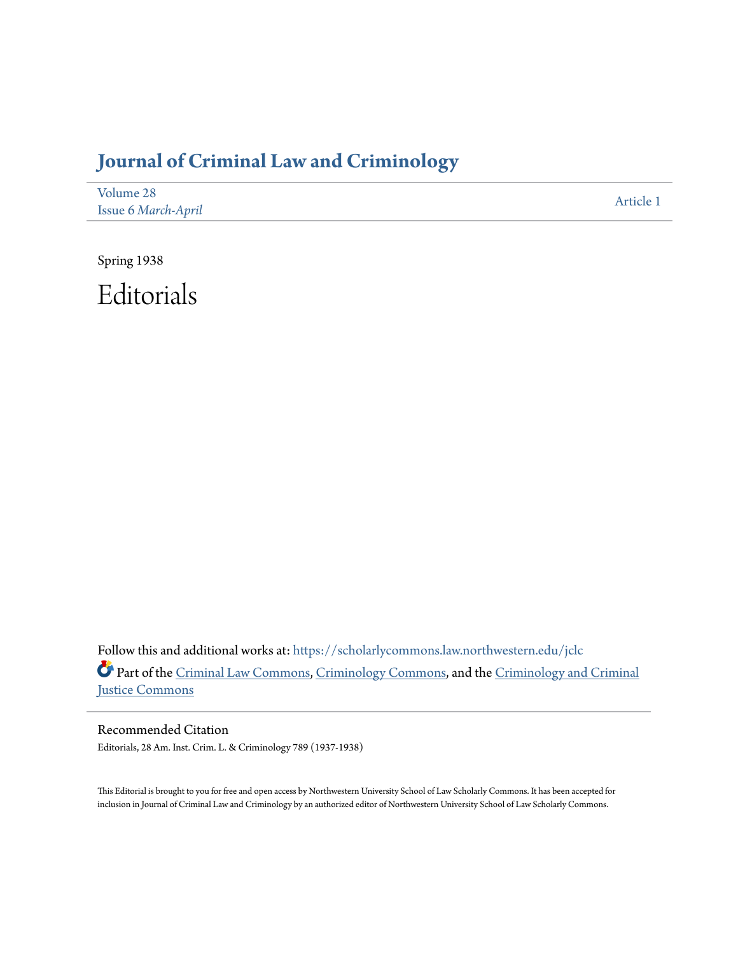## **[Journal of Criminal Law and Criminology](https://scholarlycommons.law.northwestern.edu/jclc?utm_source=scholarlycommons.law.northwestern.edu%2Fjclc%2Fvol28%2Fiss6%2F1&utm_medium=PDF&utm_campaign=PDFCoverPages)**

| Volume 28           | Article 1 |
|---------------------|-----------|
| Issue 6 March-April |           |

Spring 1938

Editorials

Follow this and additional works at: [https://scholarlycommons.law.northwestern.edu/jclc](https://scholarlycommons.law.northwestern.edu/jclc?utm_source=scholarlycommons.law.northwestern.edu%2Fjclc%2Fvol28%2Fiss6%2F1&utm_medium=PDF&utm_campaign=PDFCoverPages) Part of the [Criminal Law Commons](http://network.bepress.com/hgg/discipline/912?utm_source=scholarlycommons.law.northwestern.edu%2Fjclc%2Fvol28%2Fiss6%2F1&utm_medium=PDF&utm_campaign=PDFCoverPages), [Criminology Commons](http://network.bepress.com/hgg/discipline/417?utm_source=scholarlycommons.law.northwestern.edu%2Fjclc%2Fvol28%2Fiss6%2F1&utm_medium=PDF&utm_campaign=PDFCoverPages), and the [Criminology and Criminal](http://network.bepress.com/hgg/discipline/367?utm_source=scholarlycommons.law.northwestern.edu%2Fjclc%2Fvol28%2Fiss6%2F1&utm_medium=PDF&utm_campaign=PDFCoverPages) [Justice Commons](http://network.bepress.com/hgg/discipline/367?utm_source=scholarlycommons.law.northwestern.edu%2Fjclc%2Fvol28%2Fiss6%2F1&utm_medium=PDF&utm_campaign=PDFCoverPages)

Recommended Citation Editorials, 28 Am. Inst. Crim. L. & Criminology 789 (1937-1938)

This Editorial is brought to you for free and open access by Northwestern University School of Law Scholarly Commons. It has been accepted for inclusion in Journal of Criminal Law and Criminology by an authorized editor of Northwestern University School of Law Scholarly Commons.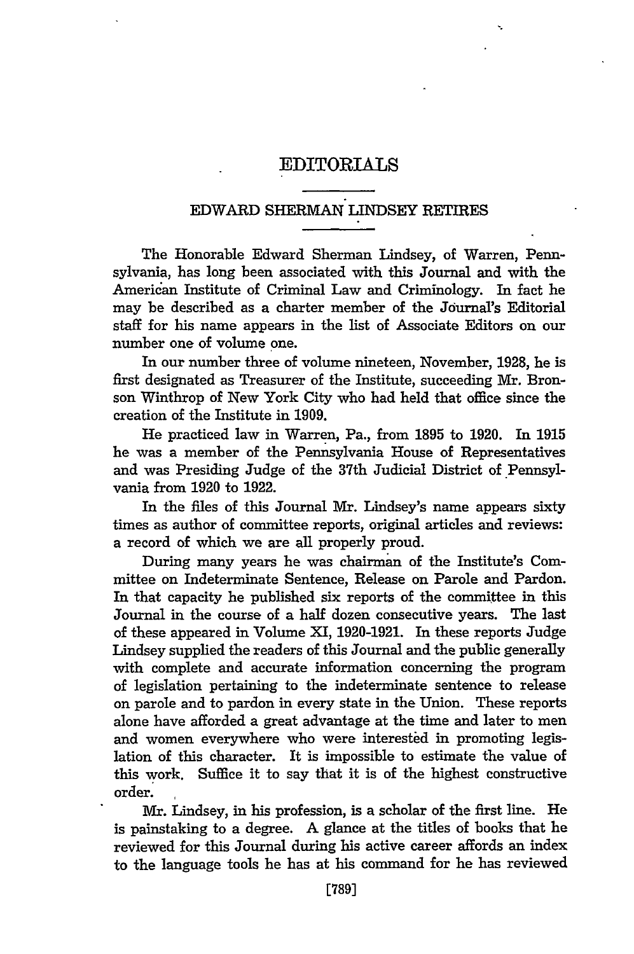## EDITORIALS

## EDWARD SHERMAN LINDSEY RETIRES

The Honorable Edward Sherman Lindsey, of Warren, Pennsylvania, has long been associated with this Journal and with the American Institute of Criminal Law and Criminology. In fact he may be described as a charter member of the Journal's Editorial staff for his name appears in the list of Associate Editors on our number one of volume one.

In our number three of volume nineteen, November, 1928, he is first designated as Treasurer of the Institute, succeeding Mr. Bronson Winthrop of New York City who had held that office since the creation of the Institute in 1909.

He practiced law in Warren, Pa., from 1895 to 1920. In 1915 he was a member of the Pennsylvania House of Representatives and was Presiding Judge of the 37th Judicial District of Pennsylvania from 1920 to 1922.

In the files of this Journal Mr. Lindsey's name appears sixty times as author of committee reports, original articles and reviews: a record of which we are all properly proud.

During many years he was chairman of the Institute's Committee on Indeterminate Sentence, Release on Parole and Pardon. In that capacity he published six reports of the committee in this Journal in the course of a half dozen consecutive years. The last of these appeared in Volume XI, 1920-1921. In these reports Judge Lindsey supplied the readers of this Journal and the public generally with complete and accurate information concerning the program of legislation pertaining to the indeterminate sentence to release on parole and to pardon in every state in the Union. These reports alone have afforded a great advantage at the time and later to men and women everywhere who were interested in promoting legislation of this character. It is impossible to estimate the value of this work. Suffice it to say that it is of the highest constructive order.

Mr. Lindsey, in his profession, is a scholar of the first line. He is painstaking to a degree. A glance at the titles of books that he reviewed for this Journal during his active career affords an index to the language tools he has at his command for he has reviewed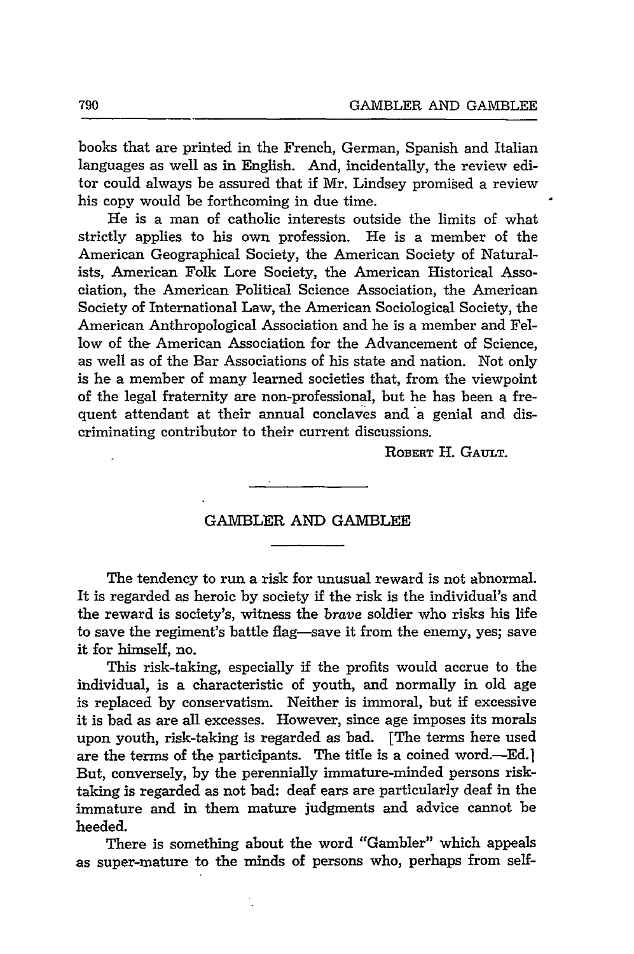books that are printed in the French, German, Spanish and Italian languages as well as in English. And, incidentally, the review editor could always be assured that if Mr. Lindsey promised a review his copy would be forthcoming in due time.

He is a man of catholic interests outside the limits of what strictly applies to his own profession. He is a member of the American Geographical Society, the American Society of Naturalists, American Folk Lore Society, the American Historical Association, the American Political Science Association, the American Society of International Law, the American Sociological Society, the American Anthropological Association and he is a member and Fellow of the American Association for the Advancement of Science, as well as of the Bar Associations of his state and nation. Not only is he a member of many learned societies that, from the viewpoint of the legal fraternity are non-professional, but he has been a frequent attendant at their annual conclaves and a genial and discriminating contributor to their current discussions.

**ROBERT** H. **GAULT.**

## GAMBLER **AND GAMBLEE**

The tendency to run a risk for unusual reward is not abnormal. It is regarded as heroic by society if the risk is the individual's and the reward is society's, witness the *brave* soldier who risks his life to save the regiment's battle flag-save it from the enemy, yes; save it for himself, no.

This risk-taking, especially **if** the profits would accrue to the individual, is a characteristic of youth, and normally in old age is replaced by conservatism. Neither is immoral, but if excessive it is bad as are all excesses. However, since age imposes its morals upon youth, risk-taking is regarded as bad. [The terms here used are the terms of the participants. The title is a coined word.-Ed.] But, conversely, by the perennially immature-minded persons risktaking is regarded as not bad: deaf ears are particularly deaf in the immature and in them mature judgments and advice cannot be heeded.

There is something about the word "Gambler" which appeals as super-mature to the minds of persons who, perhaps from self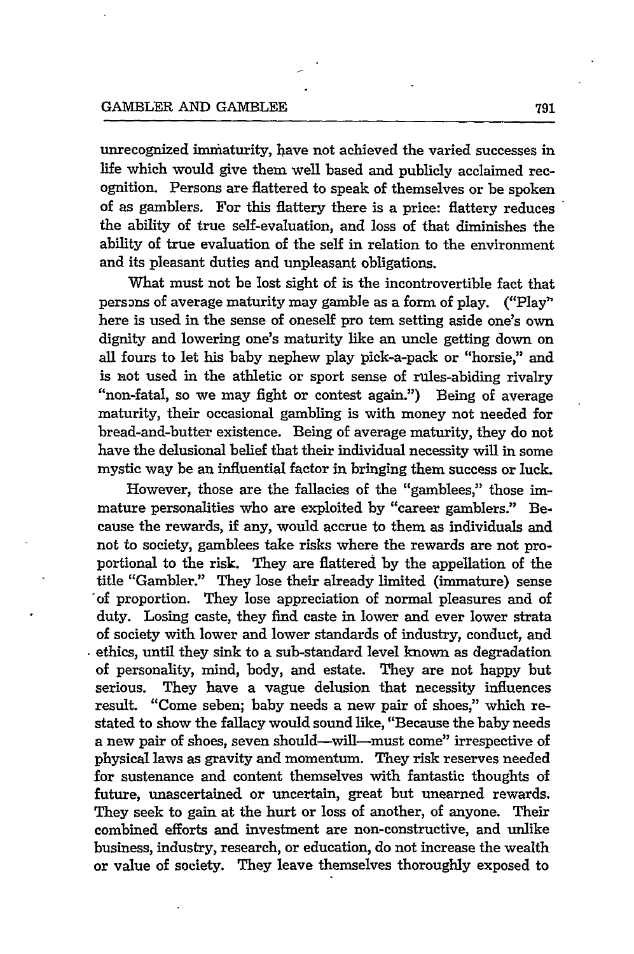unrecognized immaturity, have not achieved the varied successes in life which would give them well based and publicly acclaimed recognition. Persons are flattered to speak of themselves or be spoken of as gamblers. For this flattery there is a price: flattery reduces the ability of true self-evaluation, and loss of that diminishes the ability of true evaluation of the self in relation to the environment and its pleasant duties and unpleasant obligations.

What must not be lost sight of is the incontrovertible fact that persons of average maturity may gamble as a form of play. ("Play" here is used in the sense of oneself pro tem setting aside one's own dignity and lowering one's maturity like an uncle getting down on all fours to let his baby nephew play pick-a-pack or "horsie," and is not used in the athletic or sport sense of rules-abiding rivalry "non-fatal, so we may fight or contest again.") Being of average maturity, their occasional gambling is with money not needed for bread-and-butter existence. Being of average maturity, they do not have the delusional belief that their individual necessity will in some mystic way be an influential factor in bringing them success or luck.

However, those are the fallacies of the "gamblees," those immature personalities who are exploited by "career gamblers." Because the rewards, if any, would accrue to them as individuals and not to society, gamblees take risks where the rewards are not proportional to the risk. They are flattered by the appellation of the title "Gambler." They lose their already limited (immature) sense 'of proportion. They lose appreciation of normal pleasures and of duty. Losing caste, they find caste in lower and ever lower strata of society with lower and lower standards of industry, conduct, and ethics, until they sink to a sub-standard level known as degradation of personality, mind, body, and estate. They are not happy but serious. They have a vague delusion that necessity influences result. "Come seben; baby needs a new pair of shoes," which restated to show the fallacy would sound like, "Because the baby needs a new pair of shoes, seven should--will--must come" irrespective of physical laws as gravity and momentum. They risk reserves needed for sustenance and content themselves with fantastic thoughts of future, unascertained or uncertain, great but unearned rewards. They seek to gain at the hurt or loss of another, of anyone. Their combined efforts and investment are non-constructive, and unlike business, industry, research, or education, do not increase the wealth or value of society. They leave themselves thoroughly exposed to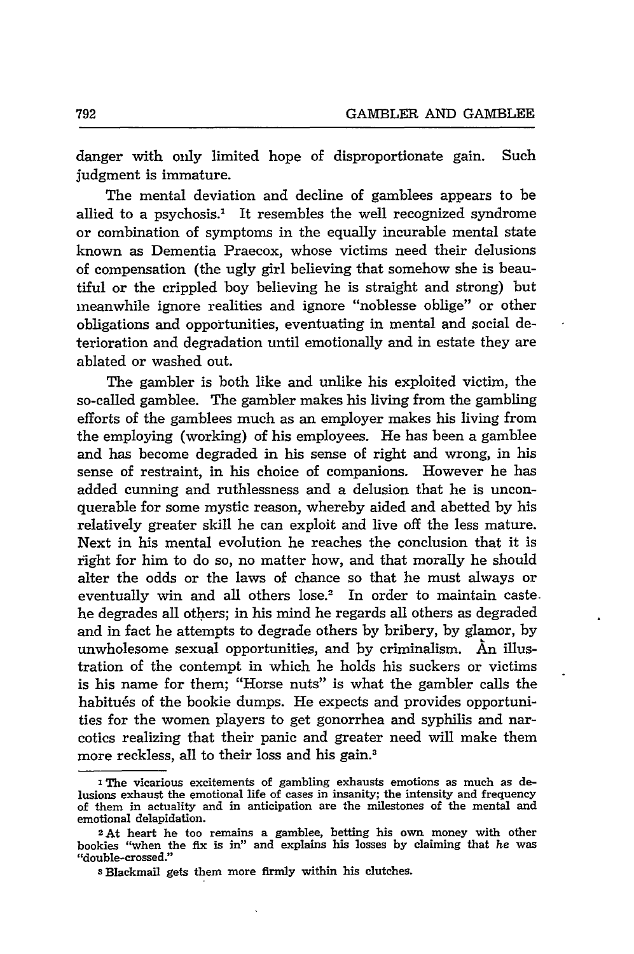danger with only limited hope of disproportionate gain. Such judgment is immature.

The mental deviation and decline of gamblees appears to be allied to a psychosis.' It resembles the well recognized syndrome or combination of symptoms in the equally incurable mental state known as Dementia Praecox, whose victims need their delusions of compensation (the ugly girl believing that somehow she is beautiful or the crippled boy believing he is straight and strong) but meanwhile ignore realities and ignore "noblesse oblige" or other obligations and opportunities, eventuating in mental and social deterioration and degradation until emotionally and in estate they are ablated or washed out.

The gambler is both like and unlike his exploited victim, the so-called gamblee. The gambler makes his living from the gambling efforts of the gamblees much as an employer makes his living from the employing (working) of his employees. He has been a gamblee and has become degraded in his sense of right and wrong, in his sense of restraint, in his choice of companions. However he has added cunning and ruthlessness and a delusion that he is unconquerable for some mystic reason, whereby aided and abetted by his relatively greater skill he can exploit and live off the less mature. Next in his mental evolution he reaches the conclusion that it is right for him to do so, no matter how, and that morally he should alter the odds or the laws of chance so that he must always or eventually win and all others lose.<sup>2</sup> In order to maintain caste. he degrades all others; in his mind he regards all others as degraded and in fact he attempts to degrade others by bribery, by glamor, by unwholesome sexual opportunities, and by criminalism. An illustration of the contempt in which he holds his suckers or victims is his name for them; "Horse nuts" is what the gambler calls the habitués of the bookie dumps. He expects and provides opportunities for the women players to get gonorrhea and syphilis and narcotics realizing that their panic and greater need will make them more reckless, all to their loss and his gain.<sup>3</sup>

<sup>&</sup>lt;sup>1</sup> The vicarious excitements of gambling exhausts emotions as much as delusions exhaust the emotional life of cases in insanity; the intensity and frequency of them in actuality and in anticipation are the milestones of the mental and emotional delapidation.

**<sup>2</sup>At** heart he too remains a gamblee, betting his own money with other bookies "when the fix is in" and explains his losses **by** claiming that *he* was "double-crossed."

s Blackmail gets them more firmly within his clutches.